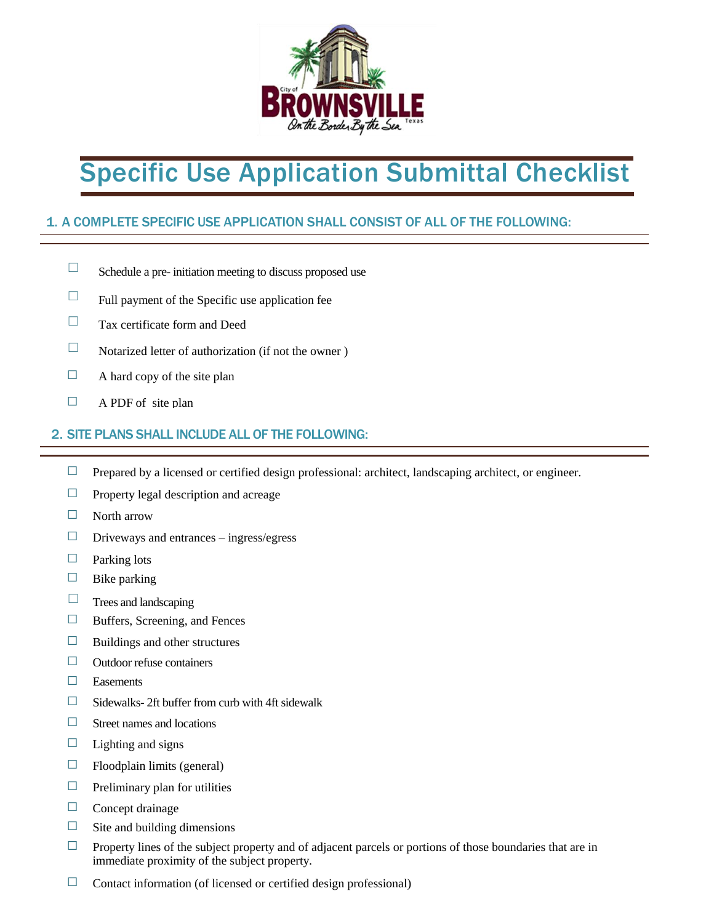

# Specific Use Application Submittal Checklist

## 1. A COMPLETE SPECIFIC USE APPLICATION SHALL CONSIST OF ALL OF THE FOLLOWING:

- ☐ Schedule a pre- initiation meeting to discuss proposed use
- $\Box$  Full payment of the Specific use application fee
- $\Box$  Tax certificate form and Deed
- $\Box$  Notarized letter of authorization (if not the owner)
- $\Box$  A hard copy of the site plan
- $\Box$  A PDF of site plan

## 2. SITE PLANS SHALL INCLUDE ALL OF THE FOLLOWING:

- $\Box$  Prepared by a licensed or certified design professional: architect, landscaping architect, or engineer.
- $\Box$  Property legal description and acreage
- ☐ North arrow
- $\Box$  Driveways and entrances ingress/egress
- $\Box$  Parking lots
- $\Box$  Bike parking
- $\Box$  Trees and landscaping
- $\Box$  Buffers, Screening, and Fences
- $\Box$  Buildings and other structures
- $\Box$  Outdoor refuse containers
- ☐ Easements
- $\Box$  Sidewalks- 2ft buffer from curb with 4ft sidewalk
- $\Box$  Street names and locations
- $\Box$  Lighting and signs
- $\Box$  Floodplain limits (general)
- $\Box$  Preliminary plan for utilities
- □ Concept drainage
- $\Box$  Site and building dimensions
- $\Box$  Property lines of the subject property and of adjacent parcels or portions of those boundaries that are in immediate proximity of the subject property.
- $\Box$  Contact information (of licensed or certified design professional)